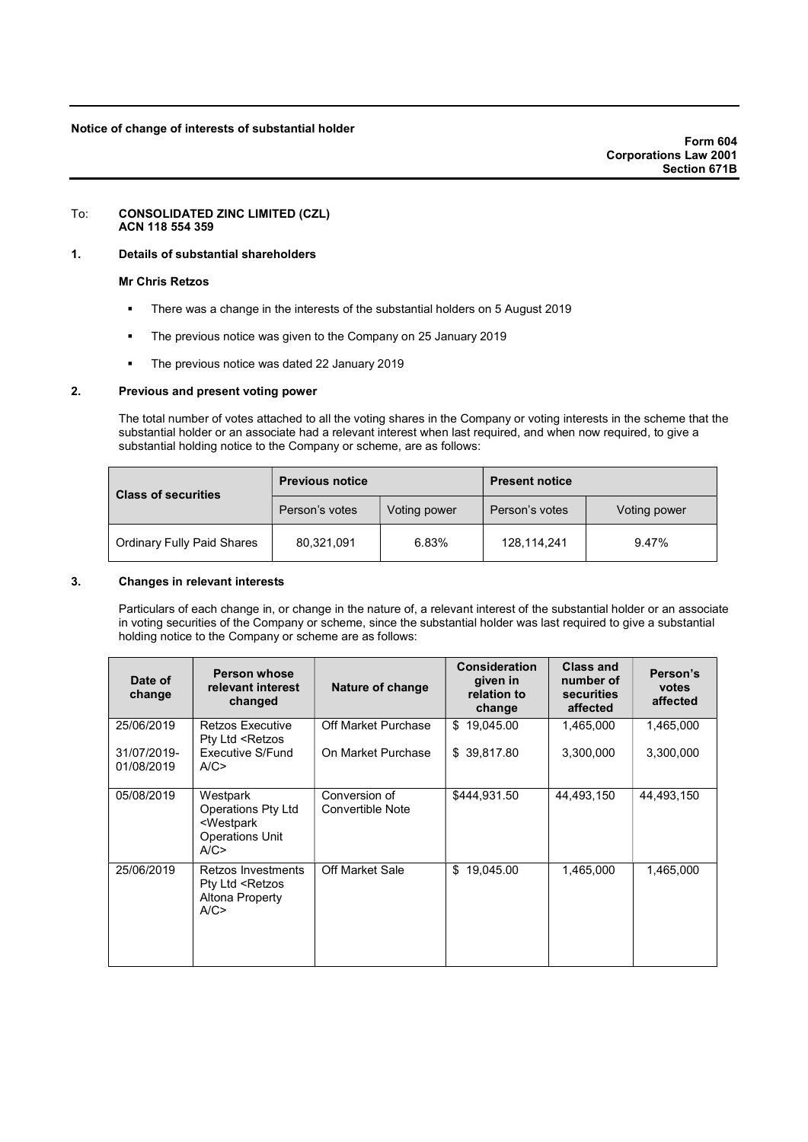### Notice of change of interests of substantial holder

#### To: CONSOLIDATED ZINC LIMITED (CZL) ACN 118 554 359

## 1. Details of substantial shareholders

### Mr Chris Retzos

- There was a change in the interests of the substantial holders on 5 August 2019
- The previous notice was given to the Company on 25 January 2019
- The previous notice was dated 22 January 2019

## 2. Previous and present voting power

The total number of votes attached to all the voting shares in the Company or voting interests in the scheme that the substantial holder or an associate had a relevant interest when last required, and when now required, to give a substantial holding notice to the Company or scheme, are as follows:

| <b>Class of securities</b>        | <b>Previous notice</b> |              | <b>Present notice</b> |              |  |
|-----------------------------------|------------------------|--------------|-----------------------|--------------|--|
|                                   | Person's votes         | Voting power | Person's votes        | Voting power |  |
| <b>Ordinary Fully Paid Shares</b> | 80,321,091             | 6.83%        | 128,114,241           | 9.47%        |  |

## 3. Changes in relevant interests

Particulars of each change in, or change in the nature of, a relevant interest of the substantial holder or an associate in voting securities of the Company or scheme, since the substantial holder was last required to give a substantial holding notice to the Company or scheme are as follows:

| Date of<br>change         | <b>Person whose</b><br>relevant interest<br>changed                                                                                                   | Nature of change                         | <b>Consideration</b><br>given in<br>relation to<br>change | <b>Class and</b><br>number of<br>securities<br>affected | Person's<br>votes<br>affected |
|---------------------------|-------------------------------------------------------------------------------------------------------------------------------------------------------|------------------------------------------|-----------------------------------------------------------|---------------------------------------------------------|-------------------------------|
| 25/06/2019                | <b>Retzos Executive</b><br>Pty Ltd <retzos< td=""><td>Off Market Purchase</td><td>\$<br/>19,045.00</td><td>1,465,000</td><td>1,465,000</td></retzos<> | Off Market Purchase                      | \$<br>19,045.00                                           | 1,465,000                                               | 1,465,000                     |
| 31/07/2019-<br>01/08/2019 | Executive S/Fund<br>A/C                                                                                                                               | On Market Purchase                       | \$39,817.80                                               | 3,300,000                                               | 3,300,000                     |
| 05/08/2019                | Westpark<br><b>Operations Pty Ltd</b><br><westpark<br><b>Operations Unit</b><br/>A/C</westpark<br>                                                    | Conversion of<br><b>Convertible Note</b> | \$444.931.50                                              | 44,493,150                                              | 44,493,150                    |
| 25/06/2019                | <b>Retzos Investments</b><br>Pty Ltd <retzos<br>Altona Property<br/>A/C</retzos<br>                                                                   | <b>Off Market Sale</b>                   | 19,045.00<br>\$                                           | 1,465,000                                               | 1,465,000                     |